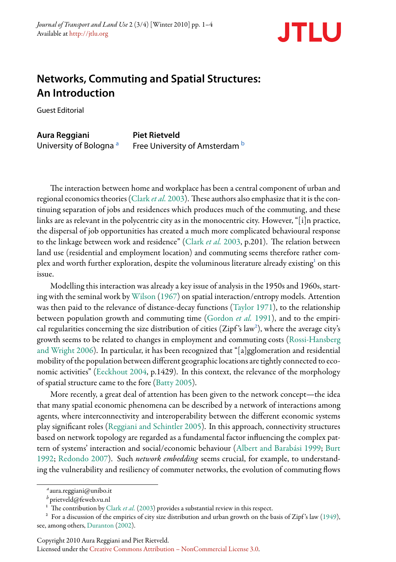*Journal of Transport and Land Use* 2 (3/4) [Winter 2010] pp. 1–4 Available at http://jtlu.org



## **Networks, Commuting and Spatial Structures: An Introduction**

Guest Editorial

**Aura Reggiani** University of Bologna<sup>a</sup>

**[Piet Rietveld](#page-2-0)** Free University of Amsterdam b

The interaction between home and workplace has been a central component of urban and regional economics [t](#page-0-0)heories (Clark *et al.* 2003). These authors also emphasize that it is the continuing separation of jobs and residences which produces much of the commuting, and these links are as relevant in the polycentric city as in the monocentric city. However, "[i]n practice, the dispersal of job opportu[nities has create](#page-2-1)d a much more complicated behavioural response to the linkage between work and residence" (Clark *et al.* 2003, p.201). The relation between land use (residential and employment location) and [commuting seems t](#page-2-3)herefore rather complex and worth f[ur](#page-0-1)ther exploration, despite the voluminous literature already existing<sup>1</sup> on this issue.

[Modelling thi](#page-2-4)s interaction was already a key issue of analysis in the 1950s and 1960s, starting with the seminal work by Wilson (1967) on spatial interaction/entropy models. Attention was then paid to [the relevance of](#page-2-5) distance-decay functions (Taylor 1971), to the relationship between population growth and co[mmuting tim](#page-2-6)e (Gordon *et al.* 1991), and to the empirical regularities concerning the size distribution of cities (Zipf's law<sup>2</sup>), where the average city's growth seems to be related to changes in employment and commuting costs (Rossi-Hansberg and Wright 2006). In particular, it has been recognized that "[a]gglomeration and residential mobility of the popul[ation between different geogra](#page-2-7)phic locations are tightly connected to economic activities" (Eeckhout 2004, p.1429). In this context, the relevance of the morphology of spatial structure came to the fore (Batty 2005).

<span id="page-0-0"></span>[M](#page-2-8)[ore recently, a g](#page-2-9)reat deal of attention has been given to the network concept—the idea that many spatial economic phenomena can be described by a network of interactions among agents, where interconnectivity and interoperability between the different economic systems play signiđcant roles (Reggiani and Schintler 2005). In this approach, connectivity structures based on network to[pology are regar](#page-2-0)ded as a fundamental factor influencing the complex pattern of systems' interaction and social/economic behaviour (Albert and Barabási 1999; [Bur](#page-3-0)t 1992; Redondo [2007\). Such](#page-2-10) *network embedding* seems crucial, for example, to understanding the vulnerability and resiliency of commuter networks, the evolution of commuting flows

<span id="page-0-1"></span>*a* aura.reggiani@unibo.it

*<sup>b</sup>* prietveld@feweb.vu.nl

 $\frac{1}{2}$  The contribution by Clark *et al.* (2003) provides a substantial review in this respect.

 $2^2$  For a discussion of the empirics of city size distribution and urban growth on the basis of Zipf's law (1949), see, among others, Duranton (2002).

Licensed under the Creative Commons Attribution – NonCommercial License 3.0.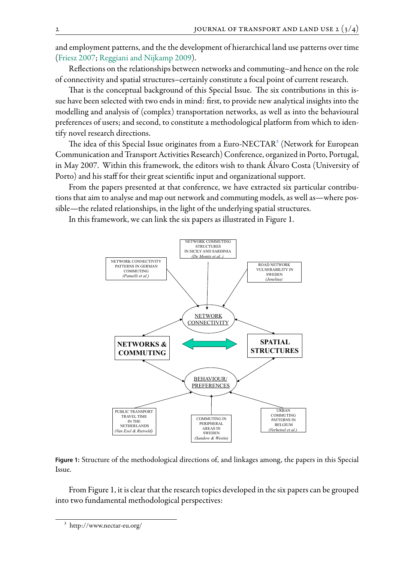and employment patterns, and the the development of hierarchical land use patterns over time (Friesz 2007; Reggiani and Nijkamp 2009).

Reflections on the relationships between networks and commuting–and hence on the role of connectivity and spatial structures–certainly constitute a focal po[in](#page-1-0)t of current research.

That is the conceptual background of this Special Issue. The six contributions in this issue have been selected with two ends in mind: first, to provide new analytical insights into the modelling and analysis of (complex) transportation networks, as well as into the behavioural preferences of users; and second, to constitute a methodological platform from which to identify novel research directions.

The idea of this Special Issue originates from a Euro-NECTAR<sup>3</sup> (Network for European Communication and Transport Activities Research) Conference, organized in Porto, Portugal, in May 2007. Within this framework, the editors wish to thank Álvaro Costa (University of Porto) and his staff for their great scientiđc input and organizational support.

From the papers presented at that conference, we have extracted six particular contributions that aim to analyse and map out network and commuting models, as well as—where possible—the related relationships, in the light of the underlying spatial structures.

In this framework, we can link the six papers as illustrated in Figure 1.



<span id="page-1-0"></span>

From Figure 1, it is clear that the research topics developed in the six papers can be grouped into two fundamental methodological perspectives:

 $^3$ http://www.nectar-eu.org/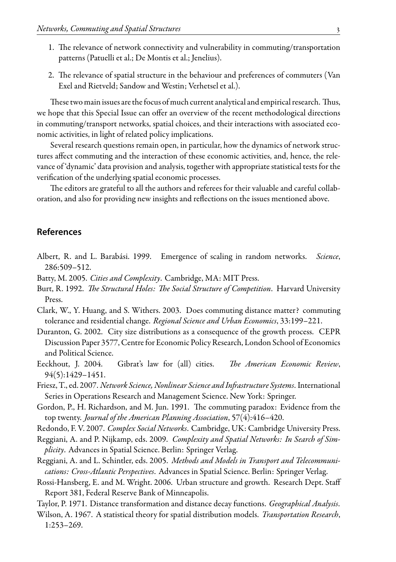- 1. The relevance of network connectivity and vulnerability in commuting/transportation patterns (Patuelli et al.; De Montis et al.; Jenelius).
- 2. The relevance of spatial structure in the behaviour and preferences of commuters (Van Exel and Rietveld; Sandow and Westin; Verhetsel et al.).

These two main issues are the focus of much current analytical and empirical research. Thus, we hope that this Special Issue can offer an overview of the recent methodological directions in commuting/transport networks, spatial choices, and their interactions with associated economic activities, in light of related policy implications.

Several research questions remain open, in particular, how the dynamics of network structures affect commuting and the interaction of these economic activities, and, hence, the relevance of 'dynamic' data provision and analysis, together with appropriate statistical tests for the verification of the underlying spatial economic processes.

The editors are grateful to all the authors and referees for their valuable and careful collaboration, and also for providing new insights and reflections on the issues mentioned above.

## **References**

- Albert, R. and L. Barabási. 1999. Emergence of scaling in random networks. Science, 286:509-512.
- <span id="page-2-6"></span>Batty, M. 2005. Cities and Complexity. Cambridge, MA: MIT Press.
- <span id="page-2-8"></span>Burt, R. 1992. The Structural Holes: The Social Structure of Competition. Harvard University Press.
- <span id="page-2-0"></span>Clark, W., Y. Huang, and S. Withers. 2003. Does commuting distance matter? commuting tolerance and residential change. Regional Science and Urban Economics, 33:199-221.
- <span id="page-2-10"></span>Duranton, G. 2002. City size distributions as a consequence of the growth process. CEPR Discussion Paper 3577, Centre for Economic Policy Research, London School of Economics and Political Science.
- <span id="page-2-5"></span>Eeckhout, J. 2004. Gibrat's law for (all) cities. The American Economic Review, 94(5):1429-1451.
- Friesz, T., ed. 2007. *Network Science, Nonlinear Science and Infrastructure Systems*. International Series in Operations Research and Management Science. New York: Springer.
- <span id="page-2-3"></span>Gordon, P., H. Richardson, and M. Jun. 1991. The commuting paradox: Evidence from the top twenty. Journal of the American Planning Association, 57(4):416-420.
- <span id="page-2-9"></span>Redondo, F. V. 2007. Complex Social Networks. Cambridge, UK: Cambridge University Press.
- Reggiani, A. and P. Nijkamp, eds. 2009. Complexity and Spatial Networks: In Search of Simplicity. Advances in Spatial Science. Berlin: Springer Verlag.
- <span id="page-2-7"></span>Reggiani, A. and L. Schintler, eds. 2005. Methods and Models in Transport and Telecommunications: Cross-Atlantic Perspectives. Advances in Spatial Science. Berlin: Springer Verlag.
- <span id="page-2-4"></span>Rossi-Hansberg, E. and M. Wright. 2006. Urban structure and growth. Research Dept. Staff Report 381, Federal Reserve Bank of Minneapolis.
- <span id="page-2-2"></span>Taylor, P. 1971. Distance transformation and distance decay functions. Geographical Analysis.

<span id="page-2-1"></span>Wilson, A. 1967. A statistical theory for spatial distribution models. Transportation Research,  $1:253 - 269.$